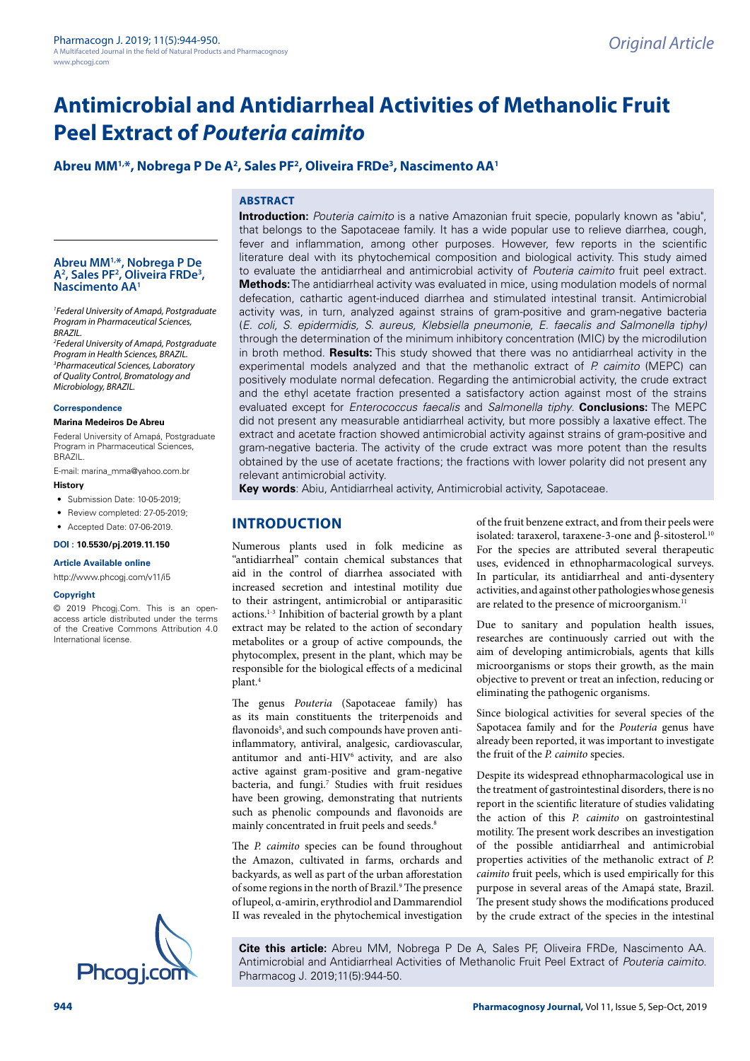# **Abreu MM1,\*, Nobrega P De A2 , Sales PF2 , Oliveira FRDe3 , Nascimento AA1**

#### **ABSTRACT Introduction:** *Pouteria caimito* is a native Amazonian fruit specie, popularly known as "abiu",

that belongs to the Sapotaceae family. It has a wide popular use to relieve diarrhea, cough, fever and inflammation, among other purposes. However, few reports in the scientific literature deal with its phytochemical composition and biological activity. This study aimed to evaluate the antidiarrheal and antimicrobial activity of *Pouteria caimito* fruit peel extract. **Methods:** The antidiarrheal activity was evaluated in mice, using modulation models of normal defecation, cathartic agent-induced diarrhea and stimulated intestinal transit. Antimicrobial activity was, in turn, analyzed against strains of gram-positive and gram-negative bacteria (*E. coli, S. epidermidis, S. aureus, Klebsiella pneumonie, E. faecalis and Salmonella tiphy)* through the determination of the minimum inhibitory concentration (MIC) by the microdilution in broth method. **Results:** This study showed that there was no antidiarrheal activity in the experimental models analyzed and that the methanolic extract of *P. caimito* (MEPC) can positively modulate normal defecation. Regarding the antimicrobial activity, the crude extract and the ethyl acetate fraction presented a satisfactory action against most of the strains evaluated except for *Enterococcus faecalis* and *Salmonella tiphy*. **Conclusions:** The MEPC did not present any measurable antidiarrheal activity, but more possibly a laxative effect. The extract and acetate fraction showed antimicrobial activity against strains of gram-positive and gram-negative bacteria. The activity of the crude extract was more potent than the results obtained by the use of acetate fractions; the fractions with lower polarity did not present any relevant antimicrobial activity.

**Key words**: Abiu, Antidiarrheal activity, Antimicrobial activity, Sapotaceae.

# **INTRODUCTION**

Numerous plants used in folk medicine as "antidiarrheal" contain chemical substances that aid in the control of diarrhea associated with increased secretion and intestinal motility due to their astringent, antimicrobial or antiparasitic actions.1-3 Inhibition of bacterial growth by a plant extract may be related to the action of secondary metabolites or a group of active compounds, the phytocomplex, present in the plant, which may be responsible for the biological effects of a medicinal plant.4

The genus *Pouteria* (Sapotaceae family) has as its main constituents the triterpenoids and flavonoids<sup>5</sup>, and such compounds have proven antiinflammatory, antiviral, analgesic, cardiovascular, antitumor and anti-HIV<sup>6</sup> activity, and are also active against gram-positive and gram-negative bacteria, and fungi.<sup>7</sup> Studies with fruit residues have been growing, demonstrating that nutrients such as phenolic compounds and flavonoids are mainly concentrated in fruit peels and seeds.<sup>8</sup>

The *P. caimito* species can be found throughout the Amazon, cultivated in farms, orchards and backyards, as well as part of the urban afforestation of some regions in the north of Brazil.<sup>9</sup> The presence of lupeol, α-amirin, erythrodiol and Dammarendiol II was revealed in the phytochemical investigation of the fruit benzene extract, and from their peels were isolated: taraxerol, taraxene-3-one and β-sitosterol.<sup>10</sup> For the species are attributed several therapeutic uses, evidenced in ethnopharmacological surveys. In particular, its antidiarrheal and anti-dysentery activities, and against other pathologies whose genesis are related to the presence of microorganism.<sup>11</sup>

Due to sanitary and population health issues, researches are continuously carried out with the aim of developing antimicrobials, agents that kills microorganisms or stops their growth, as the main objective to prevent or treat an infection, reducing or eliminating the pathogenic organisms.

Since biological activities for several species of the Sapotacea family and for the *Pouteria* genus have already been reported, it was important to investigate the fruit of the *P. caimito* species.

Despite its widespread ethnopharmacological use in the treatment of gastrointestinal disorders, there is no report in the scientific literature of studies validating the action of this *P. caimito* on gastrointestinal motility. The present work describes an investigation of the possible antidiarrheal and antimicrobial properties activities of the methanolic extract of *P. caimito* fruit peels, which is used empirically for this purpose in several areas of the Amapá state, Brazil. The present study shows the modifications produced by the crude extract of the species in the intestinal

**Cite this article:** Abreu MM, Nobrega P De A, Sales PF, Oliveira FRDe, Nascimento AA. Antimicrobial and Antidiarrheal Activities of Methanolic Fruit Peel Extract of *Pouteria caimito*.<br>Pharmacog J. 2019;11(5):944-50.

**Abreu MM1,\*, Nobrega P De A2 , Sales PF2 , Oliveira FRDe3 , Nascimento AA1**

*1 Federal University of Amapá, Postgraduate Program in Pharmaceutical Sciences, BRAZIL.*

*2 Federal University of Amapá, Postgraduate Program in Health Sciences, BRAZIL. 3 Pharmaceutical Sciences, Laboratory of Quality Control, Bromatology and Microbiology, BRAZIL.*

#### **Correspondence**

#### **Marina Medeiros De Abreu**

Federal University of Amapá, Postgraduate Program in Pharmaceutical Sciences, BRAZIL.

E-mail: [marina\\_mma@yahoo.com.br](F:\Journals\PJ\PJ_11\PJ_11-5\PJ_11_5-Work\PJ-11-5-72\PJ-11-5-72\marina_mma@yahoo.com.br) **History**

- Submission Date: 10-05-2019;
- Review completed: 27-05-2019;
- Accepted Date: 07-06-2019.

#### **DOI : 10.5530/pj.2019.11.150**

#### **Article Available online**

[http://www.phcogj.com/v11/i](http://www.phcogj.com/v11/i3)5

#### **Copyright**

© 2019 Phcogj.Com. This is an openaccess article distributed under the terms of the Creative Commons Attribution 4.0 International license.

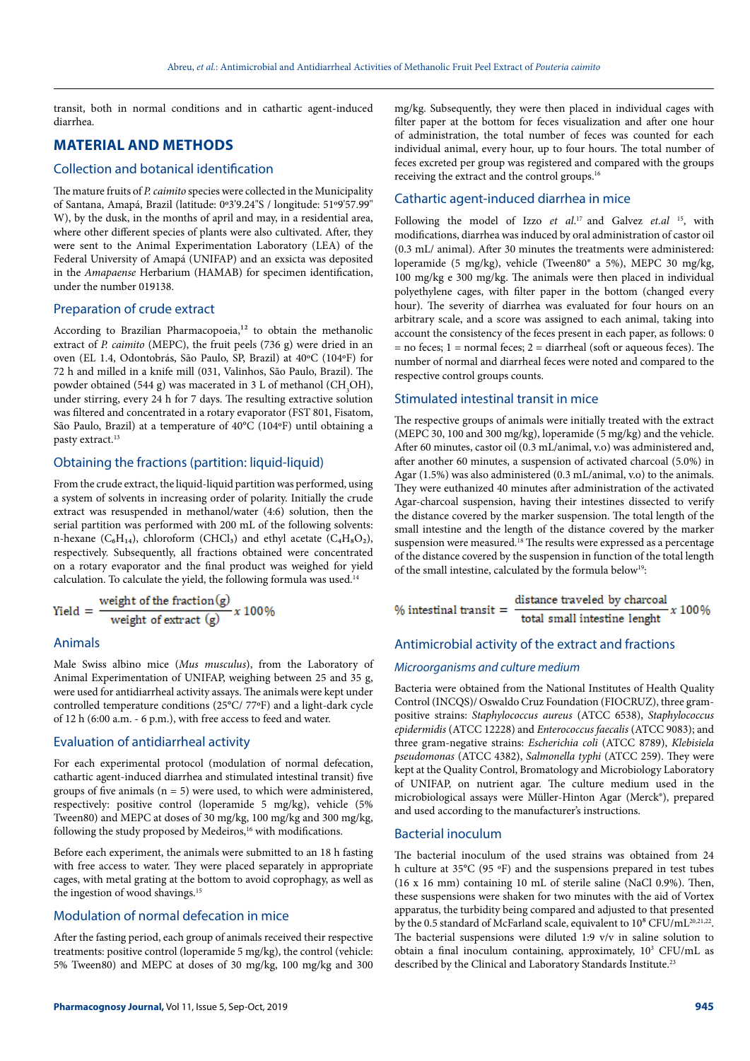transit, both in normal conditions and in cathartic agent-induced diarrhea.

# **MATERIAL AND METHODS**

#### Collection and botanical identification

The mature fruits of *P. caimito* species were collected in the Municipality of Santana, Amapá, Brazil (latitude: 0º3'9.24"S / longitude: 51º9'57.99" W), by the dusk, in the months of april and may, in a residential area, where other different species of plants were also cultivated. After, they were sent to the Animal Experimentation Laboratory (LEA) of the Federal University of Amapá (UNIFAP) and an exsicta was deposited in the *Amapaense* Herbarium (HAMAB) for specimen identification, under the number 019138.

## Preparation of crude extract

According to Brazilian Pharmacopoeia, $12$  to obtain the methanolic extract of *P. caimito* (MEPC), the fruit peels (736 g) were dried in an oven (EL 1.4, Odontobrás, São Paulo, SP, Brazil) at 40ºC (104ºF) for 72 h and milled in a knife mill (031, Valinhos, São Paulo, Brazil). The powder obtained (544 g) was macerated in 3 L of methanol (CH<sub>3</sub>OH), under stirring, every 24 h for 7 days. The resulting extractive solution was filtered and concentrated in a rotary evaporator (FST 801, Fisatom, São Paulo, Brazil) at a temperature of 40°C (104ºF) until obtaining a pasty extract.13

#### Obtaining the fractions (partition: liquid-liquid)

From the crude extract, the liquid-liquid partition was performed, using a system of solvents in increasing order of polarity. Initially the crude extract was resuspended in methanol/water (4:6) solution, then the serial partition was performed with 200 mL of the following solvents: n-hexane ( $C_6H_{14}$ ), chloroform (CHCl<sub>3</sub>) and ethyl acetate ( $C_4H_8O_2$ ), respectively. Subsequently, all fractions obtained were concentrated on a rotary evaporator and the final product was weighed for yield calculation. To calculate the yield, the following formula was used.14

$$
Yield = \frac{\text{weight of the fraction}(g)}{\text{weight of extract}(g)} \times 100\%
$$

## Animals

Male Swiss albino mice (*Mus musculus*), from the Laboratory of Animal Experimentation of UNIFAP, weighing between 25 and 35 g, were used for antidiarrheal activity assays. The animals were kept under controlled temperature conditions (25°C/ 77ºF) and a light-dark cycle of 12 h (6:00 a.m. - 6 p.m.), with free access to feed and water.

#### Evaluation of antidiarrheal activity

For each experimental protocol (modulation of normal defecation, cathartic agent-induced diarrhea and stimulated intestinal transit) five groups of five animals ( $n = 5$ ) were used, to which were administered, respectively: positive control (loperamide 5 mg/kg), vehicle (5% Tween80) and MEPC at doses of 30 mg/kg, 100 mg/kg and 300 mg/kg, following the study proposed by Medeiros,<sup>16</sup> with modifications.

Before each experiment, the animals were submitted to an 18 h fasting with free access to water. They were placed separately in appropriate cages, with metal grating at the bottom to avoid coprophagy, as well as the ingestion of wood shavings.<sup>15</sup>

## Modulation of normal defecation in mice

After the fasting period, each group of animals received their respective treatments: positive control (loperamide 5 mg/kg), the control (vehicle: 5% Tween80) and MEPC at doses of 30 mg/kg, 100 mg/kg and 300 mg/kg. Subsequently, they were then placed in individual cages with filter paper at the bottom for feces visualization and after one hour of administration, the total number of feces was counted for each individual animal, every hour, up to four hours. The total number of feces excreted per group was registered and compared with the groups receiving the extract and the control groups.16

## Cathartic agent-induced diarrhea in mice

Following the model of Izzo et al.<sup>17</sup> and Galvez et.al <sup>15</sup>, with modifications, diarrhea was induced by oral administration of castor oil (0.3 mL/ animal). After 30 minutes the treatments were administered: loperamide (5 mg/kg), vehicle (Tween80® a 5%), MEPC 30 mg/kg, 100 mg/kg e 300 mg/kg. The animals were then placed in individual polyethylene cages, with filter paper in the bottom (changed every hour). The severity of diarrhea was evaluated for four hours on an arbitrary scale, and a score was assigned to each animal, taking into account the consistency of the feces present in each paper, as follows: 0  $=$  no feces; 1 = normal feces; 2 = diarrheal (soft or aqueous feces). The number of normal and diarrheal feces were noted and compared to the respective control groups counts.

#### Stimulated intestinal transit in mice

The respective groups of animals were initially treated with the extract (MEPC 30, 100 and 300 mg/kg), loperamide (5 mg/kg) and the vehicle. After 60 minutes, castor oil (0.3 mL/animal, v.o) was administered and, after another 60 minutes, a suspension of activated charcoal (5.0%) in Agar (1.5%) was also administered (0.3 mL/animal, v.o) to the animals. They were euthanized 40 minutes after administration of the activated Agar-charcoal suspension, having their intestines dissected to verify the distance covered by the marker suspension. The total length of the small intestine and the length of the distance covered by the marker suspension were measured.18 The results were expressed as a percentage of the distance covered by the suspension in function of the total length of the small intestine, calculated by the formula below<sup>19</sup>:

distance traveled by charcoal  $%$  intestinal transit  $=$ x 100% total small intestine lenght

## Antimicrobial activity of the extract and fractions

#### *Microorganisms and culture medium*

Bacteria were obtained from the National Institutes of Health Quality Control (INCQS)/ Oswaldo Cruz Foundation (FIOCRUZ), three grampositive strains: *Staphylococcus aureus* (ATCC 6538), *Staphylococcus epidermidis* (ATCC 12228) and *Enterococcus faecalis* (ATCC 9083); and three gram-negative strains: *Escherichia coli* (ATCC 8789), *Klebisiela pseudomonas* (ATCC 4382), *Salmonella typhi* (ATCC 259). They were kept at the Quality Control, Bromatology and Microbiology Laboratory of UNIFAP, on nutrient agar. The culture medium used in the microbiological assays were Müller-Hinton Agar (Merck®), prepared and used according to the manufacturer's instructions.

#### Bacterial inoculum

The bacterial inoculum of the used strains was obtained from 24 h culture at 35°C (95 ºF) and the suspensions prepared in test tubes (16 x 16 mm) containing 10 mL of sterile saline (NaCl 0.9%). Then, these suspensions were shaken for two minutes with the aid of Vortex apparatus, the turbidity being compared and adjusted to that presented by the 0.5 standard of McFarland scale, equivalent to  $10^8$  CFU/mL<sup>20,21,22</sup>. The bacterial suspensions were diluted 1:9 v/v in saline solution to obtain a final inoculum containing, approximately, 10<sup>3</sup> CFU/mL as described by the Clinical and Laboratory Standards Institute.<sup>23</sup>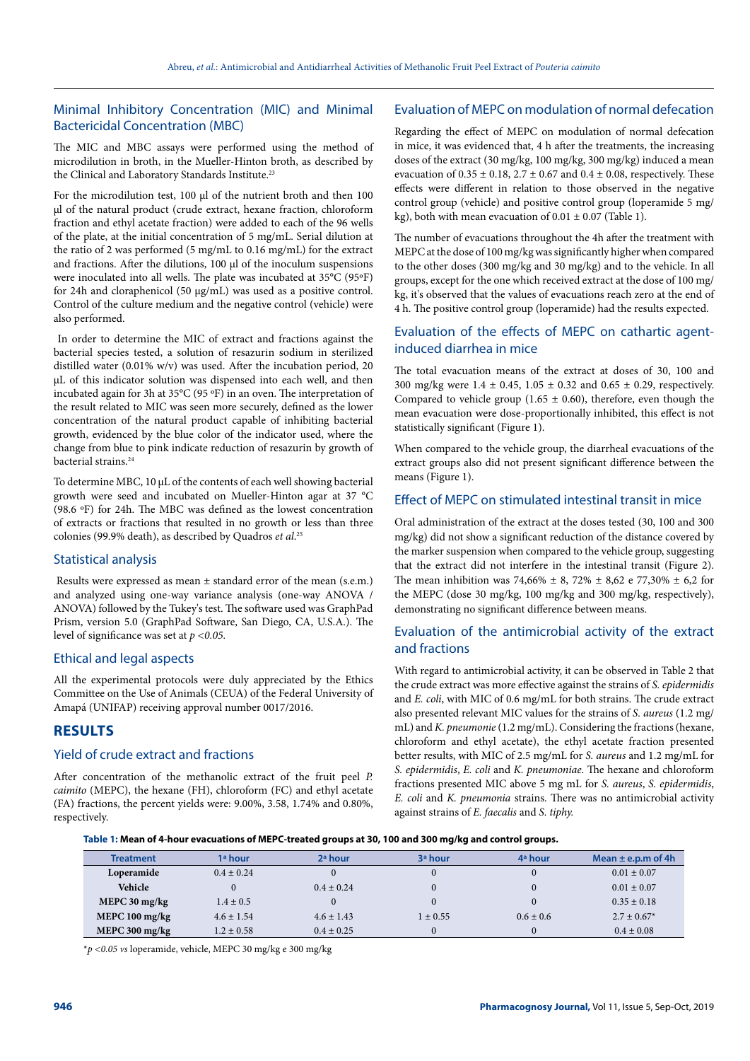## Minimal Inhibitory Concentration (MIC) and Minimal Bactericidal Concentration (MBC)

The MIC and MBC assays were performed using the method of microdilution in broth, in the Mueller-Hinton broth, as described by the Clinical and Laboratory Standards Institute.<sup>23</sup>

For the microdilution test, 100 μl of the nutrient broth and then 100 μl of the natural product (crude extract, hexane fraction, chloroform fraction and ethyl acetate fraction) were added to each of the 96 wells of the plate, at the initial concentration of 5 mg/mL. Serial dilution at the ratio of 2 was performed (5 mg/mL to 0.16 mg/mL) for the extract and fractions. After the dilutions, 100 μl of the inoculum suspensions were inoculated into all wells. The plate was incubated at 35°C (95ºF) for 24h and cloraphenicol (50 μg/mL) was used as a positive control. Control of the culture medium and the negative control (vehicle) were also performed.

 In order to determine the MIC of extract and fractions against the bacterial species tested, a solution of resazurin sodium in sterilized distilled water (0.01% w/v) was used. After the incubation period, 20 μL of this indicator solution was dispensed into each well, and then incubated again for 3h at 35°C (95 ºF) in an oven. The interpretation of the result related to MIC was seen more securely, defined as the lower concentration of the natural product capable of inhibiting bacterial growth, evidenced by the blue color of the indicator used, where the change from blue to pink indicate reduction of resazurin by growth of bacterial strains.<sup>24</sup>

To determine MBC, 10 μL of the contents of each well showing bacterial growth were seed and incubated on Mueller-Hinton agar at 37 °C (98.6 ºF) for 24h. The MBC was defined as the lowest concentration of extracts or fractions that resulted in no growth or less than three colonies (99.9% death), as described by Quadros *et al*. 25

## Statistical analysis

Results were expressed as mean  $\pm$  standard error of the mean (s.e.m.) and analyzed using one-way variance analysis (one-way ANOVA / ANOVA) followed by the Tukey's test. The software used was GraphPad Prism, version 5.0 (GraphPad Software, San Diego, CA, U.S.A.). The level of significance was set at *p <0.05.*

#### Ethical and legal aspects

All the experimental protocols were duly appreciated by the Ethics Committee on the Use of Animals (CEUA) of the Federal University of Amapá (UNIFAP) receiving approval number 0017/2016.

# **RESULTS**

## Yield of crude extract and fractions

After concentration of the methanolic extract of the fruit peel *P. caimito* (MEPC), the hexane (FH), chloroform (FC) and ethyl acetate (FA) fractions, the percent yields were: 9.00%, 3.58, 1.74% and 0.80%, respectively.

## Evaluation of MEPC on modulation of normal defecation

Regarding the effect of MEPC on modulation of normal defecation in mice, it was evidenced that, 4 h after the treatments, the increasing doses of the extract (30 mg/kg, 100 mg/kg, 300 mg/kg) induced a mean evacuation of  $0.35 \pm 0.18$ ,  $2.7 \pm 0.67$  and  $0.4 \pm 0.08$ , respectively. These effects were different in relation to those observed in the negative control group (vehicle) and positive control group (loperamide 5 mg/ kg), both with mean evacuation of  $0.01 \pm 0.07$  (Table 1).

The number of evacuations throughout the 4h after the treatment with MEPC at the dose of 100 mg/kg was significantly higher when compared to the other doses (300 mg/kg and 30 mg/kg) and to the vehicle. In all groups, except for the one which received extract at the dose of 100 mg/ kg, it's observed that the values of evacuations reach zero at the end of 4 h. The positive control group (loperamide) had the results expected.

## Evaluation of the effects of MEPC on cathartic agentinduced diarrhea in mice

The total evacuation means of the extract at doses of 30, 100 and 300 mg/kg were 1.4 ± 0.45, 1.05 ± 0.32 and 0.65 ± 0.29, respectively. Compared to vehicle group (1.65  $\pm$  0.60), therefore, even though the mean evacuation were dose-proportionally inhibited, this effect is not statistically significant (Figure 1).

When compared to the vehicle group, the diarrheal evacuations of the extract groups also did not present significant difference between the means (Figure 1).

## Effect of MEPC on stimulated intestinal transit in mice

Oral administration of the extract at the doses tested (30, 100 and 300 mg/kg) did not show a significant reduction of the distance covered by the marker suspension when compared to the vehicle group, suggesting that the extract did not interfere in the intestinal transit (Figure 2). The mean inhibition was 74,66%  $\pm$  8, 72%  $\pm$  8,62 e 77,30%  $\pm$  6,2 for the MEPC (dose 30 mg/kg, 100 mg/kg and 300 mg/kg, respectively), demonstrating no significant difference between means.

## Evaluation of the antimicrobial activity of the extract and fractions

With regard to antimicrobial activity, it can be observed in Table 2 that the crude extract was more effective against the strains of *S. epidermidis* and *E. coli*, with MIC of 0.6 mg/mL for both strains. The crude extract also presented relevant MIC values for the strains of *S. aureus* (1.2 mg/ mL) and *K. pneumonie* (1.2 mg/mL). Considering the fractions (hexane, chloroform and ethyl acetate), the ethyl acetate fraction presented better results, with MIC of 2.5 mg/mL for *S. aureus* and 1.2 mg/mL for *S. epidermidis*, *E. coli* and *K. pneumoniae*. The hexane and chloroform fractions presented MIC above 5 mg mL for *S. aureus*, *S. epidermidis*, *E. coli* and *K. pneumonia* strains. There was no antimicrobial activity against strains of *E. faecalis* and *S. tiphy.*

#### **Table 1: Mean of 4-hour evacuations of MEPC-treated groups at 30, 100 and 300 mg/kg and control groups.**

| <b>Treatment</b>                       | 1ª hour        | $2a$ hour      | 3ª hour      | 4 <sup>a</sup> hour | Mean $\pm$ e.p.m of 4h      |
|----------------------------------------|----------------|----------------|--------------|---------------------|-----------------------------|
| Loperamide                             | $0.4 \pm 0.24$ |                |              |                     | $0.01 \pm 0.07$             |
| Vehicle                                |                | $0.4 \pm 0.24$ |              |                     | $0.01 \pm 0.07$             |
| MEPC 30 mg/kg                          | $1.4 \pm 0.5$  |                |              |                     | $0.35 \pm 0.18$             |
| MEPC $100 \frac{\text{mg}}{\text{kg}}$ | $4.6 \pm 1.54$ | $4.6 \pm 1.43$ | $1 \pm 0.55$ | $0.6 \pm 0.6$       | $2.7 \pm 0.67$ <sup>*</sup> |
| MEPC 300 $mg/kg$                       | $1.2 \pm 0.58$ | $0.4 \pm 0.25$ |              |                     | $0.4 \pm 0.08$              |

\**p <0.05 vs* loperamide, vehicle, MEPC 30 mg/kg e 300 mg/kg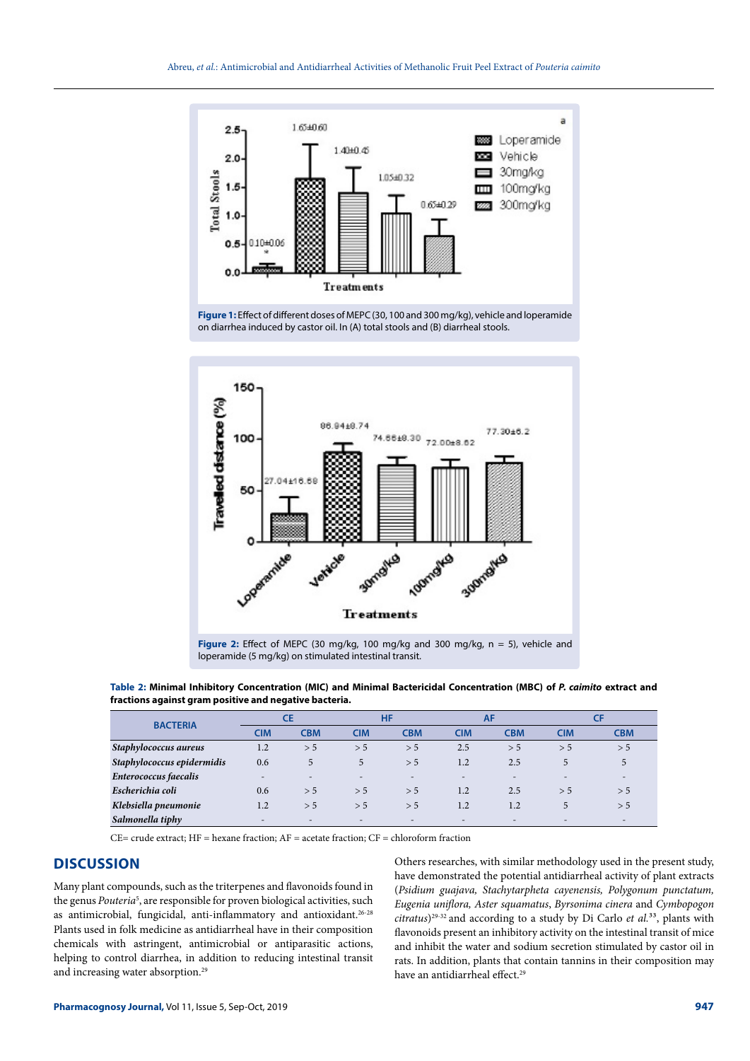

**Figure 1:** Effect of different doses of MEPC (30, 100 and 300 mg/kg), vehicle and loperamide on diarrhea induced by castor oil. In (A) total stools and (B) diarrheal stools.



**Table 2: Minimal Inhibitory Concentration (MIC) and Minimal Bactericidal Concentration (MBC) of** *P. caimito* **extract and fractions against gram positive and negative bacteria.**

|                            | СE  |                          | HF                       |                          | AF                       |            |            |                          |
|----------------------------|-----|--------------------------|--------------------------|--------------------------|--------------------------|------------|------------|--------------------------|
| <b>BACTERIA</b>            | CIM | <b>CBM</b>               | <b>CIM</b>               | <b>CBM</b>               | <b>CIM</b>               | <b>CBM</b> | <b>CIM</b> | <b>CBM</b>               |
| Staphylococcus aureus      | 1.2 | > 5                      | > 5                      | > 5                      | 2.5                      | > 5        | > 5        | > 5                      |
| Staphylococcus epidermidis | 0.6 | 5                        | 5                        | > 5                      | 1.2                      | 2.5        | 5          | 5                        |
| Enterococcus faecalis      |     | $\overline{\phantom{a}}$ | $\overline{\phantom{0}}$ | $\overline{\phantom{a}}$ | $\overline{\phantom{0}}$ | -          | -          |                          |
| Escherichia coli           | 0.6 | > 5                      | > 5                      | > 5                      | 1.2                      | 2.5        | > 5        | > 5                      |
| Klebsiella pneumonie       | 1.2 | > 5                      | > 5                      | > 5                      | 1.2                      | 1.2        | 5          | > 5                      |
| Salmonella tiphy           | -   |                          | $\overline{\phantom{a}}$ | ۰                        | $\overline{\phantom{0}}$ | -          | -          | $\overline{\phantom{a}}$ |

 $CE=$  crude extract;  $HF =$  hexane fraction;  $AF =$  acetate fraction;  $CF =$  chloroform fraction

## **DISCUSSION**

Many plant compounds, such as the triterpenes and flavonoids found in the genus *Pouteria<sup>5</sup>*, are responsible for proven biological activities, such as antimicrobial, fungicidal, anti-inflammatory and antioxidant.26-28 Plants used in folk medicine as antidiarrheal have in their composition chemicals with astringent, antimicrobial or antiparasitic actions, helping to control diarrhea, in addition to reducing intestinal transit and increasing water absorption.<sup>29</sup>

Others researches, with similar methodology used in the present study, have demonstrated the potential antidiarrheal activity of plant extracts (*Psidium guajava, Stachytarpheta cayenensis, Polygonum punctatum, Eugenia uniflora, Aster squamatus*, *Byrsonima cinera* and *Cymbopogon citratus*)<sup>29-32</sup> and according to a study by Di Carlo *et al.*<sup>33</sup>, plants with flavonoids present an inhibitory activity on the intestinal transit of mice and inhibit the water and sodium secretion stimulated by castor oil in rats. In addition, plants that contain tannins in their composition may have an antidiarrheal effect.<sup>29</sup>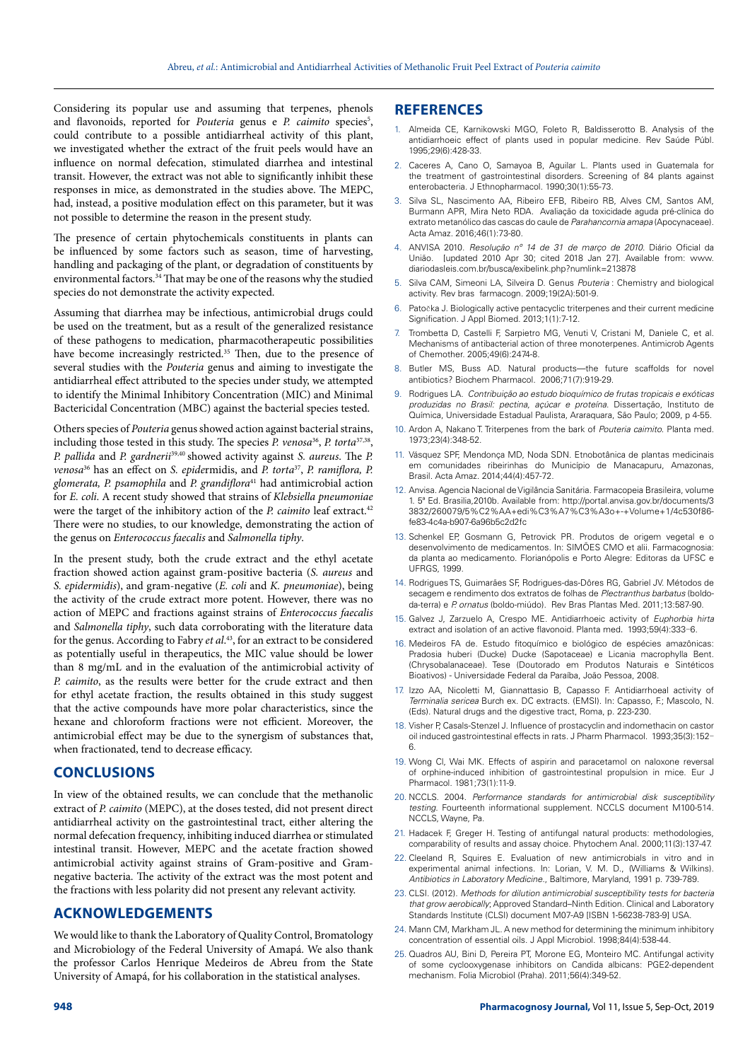Considering its popular use and assuming that terpenes, phenols and flavonoids, reported for *Pouteria* genus e *P. caimito* species<sup>5</sup>, could contribute to a possible antidiarrheal activity of this plant, we investigated whether the extract of the fruit peels would have an influence on normal defecation, stimulated diarrhea and intestinal transit. However, the extract was not able to significantly inhibit these responses in mice, as demonstrated in the studies above. The MEPC, had, instead, a positive modulation effect on this parameter, but it was not possible to determine the reason in the present study.

The presence of certain phytochemicals constituents in plants can be influenced by some factors such as season, time of harvesting, handling and packaging of the plant, or degradation of constituents by environmental factors.34 That may be one of the reasons why the studied species do not demonstrate the activity expected.

Assuming that diarrhea may be infectious, antimicrobial drugs could be used on the treatment, but as a result of the generalized resistance of these pathogens to medication, pharmacotherapeutic possibilities have become increasingly restricted.<sup>35</sup> Then, due to the presence of several studies with the *Pouteria* genus and aiming to investigate the antidiarrheal effect attributed to the species under study, we attempted to identify the Minimal Inhibitory Concentration (MIC) and Minimal Bactericidal Concentration (MBC) against the bacterial species tested.

Others species of *Pouteria* genus showed action against bacterial strains, including those tested in this study. The species *P. venosa*<sup>36</sup>, *P. torta*<sup>37,38</sup>, *P. pallida* and *P. gardnerii*39,40 showed activity against *S. aureus*. The *P. venosa*36 has an effect on *S. epide*rmidis, and *P. torta*37, *P. ramiflora, P. glomerata, P. psamophila* and *P. grandiflora*41 had antimicrobial action for *E. coli*. A recent study showed that strains of *Klebsiella pneumoniae* were the target of the inhibitory action of the *P. caimito* leaf extract.<sup>42</sup> There were no studies, to our knowledge, demonstrating the action of the genus on *Enterococcus faecalis* and *Salmonella tiphy*.

In the present study, both the crude extract and the ethyl acetate fraction showed action against gram-positive bacteria (*S. aureus* and *S. epidermidis*), and gram-negative (*E. coli* and *K. pneumoniae*), being the activity of the crude extract more potent. However, there was no action of MEPC and fractions against strains of *Enterococcus faecalis* and *Salmonella tiphy*, such data corroborating with the literature data for the genus. According to Fabry *et al*. 43, for an extract to be considered as potentially useful in therapeutics, the MIC value should be lower than 8 mg/mL and in the evaluation of the antimicrobial activity of *P. caimito*, as the results were better for the crude extract and then for ethyl acetate fraction, the results obtained in this study suggest that the active compounds have more polar characteristics, since the hexane and chloroform fractions were not efficient. Moreover, the antimicrobial effect may be due to the synergism of substances that, when fractionated, tend to decrease efficacy.

## **CONCLUSIONS**

In view of the obtained results, we can conclude that the methanolic extract of *P. caimito* (MEPC), at the doses tested, did not present direct antidiarrheal activity on the gastrointestinal tract, either altering the normal defecation frequency, inhibiting induced diarrhea or stimulated intestinal transit. However, MEPC and the acetate fraction showed antimicrobial activity against strains of Gram-positive and Gramnegative bacteria. The activity of the extract was the most potent and the fractions with less polarity did not present any relevant activity.

## **ACKNOWLEDGEMENTS**

We would like to thank the Laboratory of Quality Control, Bromatology and Microbiology of the Federal University of Amapá. We also thank the professor Carlos Henrique Medeiros de Abreu from the State University of Amapá, for his collaboration in the statistical analyses.

## **REFERENCES**

- Almeida CE, Karnikowski MGO, Foleto R, Baldisserotto B. Analysis of the antidiarrhoeic effect of plants used in popular medicine. Rev Saúde Públ*.*  1995;29(6):428-33.
- 2. Caceres A, Cano O, Samayoa B, Aguilar L. Plants used in Guatemala for the treatment of gastrointestinal disorders. Screening of 84 plants against enterobacteria. J Ethnopharmacol*.* 1990;30(1):55-73.
- 3. Silva SL, Nascimento AA, Ribeiro EFB, Ribeiro RB, Alves CM, Santos AM, Burmann APR, Mira Neto RDA. Avaliação da toxicidade aguda pré-clínica do extrato metanólico das cascas do caule de *Parahancornia amapa* (Apocynaceae). Acta Amaz*.* 2016;46(1):73-80.
- 4. ANVISA 2010. *Resolução nº 14 de 31 de março de 2010*. Diário Oficial da União. [updated 2010 Apr 30; cited 2018 Jan 27]. Available from: [www.](file:///C:\Users\Marina\Desktop\PHARMACOGNOSY JOURNAL\www.diariodasleis.com.br\busca\exibelink.php%3fnumlink=213878) [diariodasleis.com.br/busca/exibelink.php?numlink=213878](file:///C:\Users\Marina\Desktop\PHARMACOGNOSY JOURNAL\www.diariodasleis.com.br\busca\exibelink.php%3fnumlink=213878)
- 5. Silva CAM, Simeoni LA, Silveira D. Genus *Pouteria* : Chemistry and biological activity. Rev bras farmacogn*.* 2009;19(2A):501-9.
- Patočka J. Biologically active pentacyclic triterpenes and their current medicine Signification. J Appl Biomed*.* 2013;1(1):7-12.
- 7. Trombetta D, Castelli F, Sarpietro MG, Venuti V, Cristani M, Daniele C, et al. Mechanisms of antibacterial action of three monoterpenes. Antimicrob Agents of Chemother. 2005;49(6):2474-8.
- 8. Butler MS, Buss AD. Natural products—the future scaffolds for novel antibiotics? Biochem Pharmacol*.* 2006;71(7):919-29.
- 9. Rodrigues LA. *Contribuição ao estudo bioquímico de frutas tropicais e exóticas produzidas no Brasil: pectina, açúcar e proteína*. Dissertação, Instituto de Química, Universidade Estadual Paulista, Araraquara, São Paulo; 2009, p 4-55.
- 10. Ardon A, Nakano T. Triterpenes from the bark of *Pouteria caimito*. Planta med*.*  1973;23(4):348-52.
- 11. Vásquez SPF, Mendonça MD, Noda SDN. Etnobotânica de plantas medicinais em comunidades ribeirinhas do Município de Manacapuru, Amazonas, Brasil. Acta Amaz*.* 2014;44(4):457-72.
- 12. Anvisa. Agencia Nacional de Vigilância Sanitária. Farmacopeia Brasileira, volume 1. 5ª Ed. Brasilia,2010b. Available from: [http://portal.anvisa.gov.br/documents/3](http://portal.anvisa.gov.br/documents/33832/260079/5%C2%AA+edi%C3%A7%C3%A3o+-+Volume+1/4c530f86-fe83-4c4a-b907-6a96b5c2d2fc) [3832/260079/5%C2%AA+edi%C3%A7%C3%A3o+-+Volume+1/4c530f86](http://portal.anvisa.gov.br/documents/33832/260079/5%C2%AA+edi%C3%A7%C3%A3o+-+Volume+1/4c530f86-fe83-4c4a-b907-6a96b5c2d2fc) [fe83-4c4a-b907-6a96b5c2d2fc](http://portal.anvisa.gov.br/documents/33832/260079/5%C2%AA+edi%C3%A7%C3%A3o+-+Volume+1/4c530f86-fe83-4c4a-b907-6a96b5c2d2fc)
- 13. Schenkel EP, Gosmann G, Petrovick PR. Produtos de origem vegetal e o desenvolvimento de medicamentos. In: SIMÕES CMO et alii. Farmacognosia: da planta ao medicamento. Florianópolis e Porto Alegre: Editoras da UFSC e UFRGS, 1999.
- 14. Rodrigues TS, Guimarães SF, Rodrigues-das-Dôres RG, Gabriel JV. Métodos de secagem e rendimento dos extratos de folhas de *Plectranthus barbatus* (boldoda-terra) e *P. ornatus* (boldo-miúdo). Rev Bras Plantas Med. 2011;13:587-90.
- 15. Galvez J, Zarzuelo A, Crespo ME. Antidiarrhoeic activity of *Euphorbia hirta* extract and isolation of an active flavonoid. Planta med. 1993;59(4):333-6.
- 16. Medeiros FA de. Estudo fitoquímico e biológico de espécies amazônicas: Pradosia huberi (Ducke) Ducke (Sapotaceae) e Licania macrophylla Bent. (Chrysobalanaceae). Tese (Doutorado em Produtos Naturais e Sintéticos Bioativos) - Universidade Federal da Paraíba, João Pessoa, 2008.
- 17. Izzo AA, Nicoletti M, Giannattasio B, Capasso F. Antidiarrhoeal activity of *Terminalia sericea* Burch ex. DC extracts. (EMSI). In: Capasso, F.; Mascolo, N. (Eds). Natural drugs and the digestive tract, Roma, p. 223-230.
- 18. Visher P, Casals-Stenzel J. Influence of prostacyclin and indomethacin on castor oil induced gastrointestinal effects in rats. J Pharm Pharmacol*.* 1993;35(3):152- 6.
- 19. Wong Cl, Wai MK. Effects of aspirin and paracetamol on naloxone reversal of orphine-induced inhibition of gastrointestinal propulsion in mice. Eur J Pharmacol*.* 1981;73(1):11-9.
- 20. NCCLS. 2004*. Performance standards for antimicrobial disk susceptibility testing*. Fourteenth informational supplement. NCCLS document M100-514. NCCLS, Wayne, Pa.
- 21. Hadacek F, Greger H. Testing of antifungal natural products: methodologies, comparability of results and assay choice. Phytochem Anal*.* 2000;11(3):137-47.
- 22. Cleeland R, Squires E. Evaluation of new antimicrobials in vitro and in experimental animal infections. In: Lorian, V. M. D., (Williams & Wilkins). *Antibiotics in Laboratory Medicine.*, Baltimore, Maryland, 1991 p. 739-789.
- 23. CLSI. (2012). *Methods for dilution antimicrobial susceptibility tests for bacteria that grow aerobically*; Approved Standard–Ninth Edition. Clinical and Laboratory Standards Institute (CLSI) document M07-A9 [ISBN 1-56238-783-9] USA.
- 24. Mann CM, Markham JL. A new method for determining the minimum inhibitory concentration of essential oils. J Appl Microbiol. 1998;84(4):538-44.
- 25. Quadros AU, Bini D, Pereira PT, Morone EG, Monteiro MC. Antifungal activity of some cyclooxygenase inhibitors on Candida albicans: PGE2-dependent mechanism. Folia Microbiol (Praha). 2011;56(4):349-52.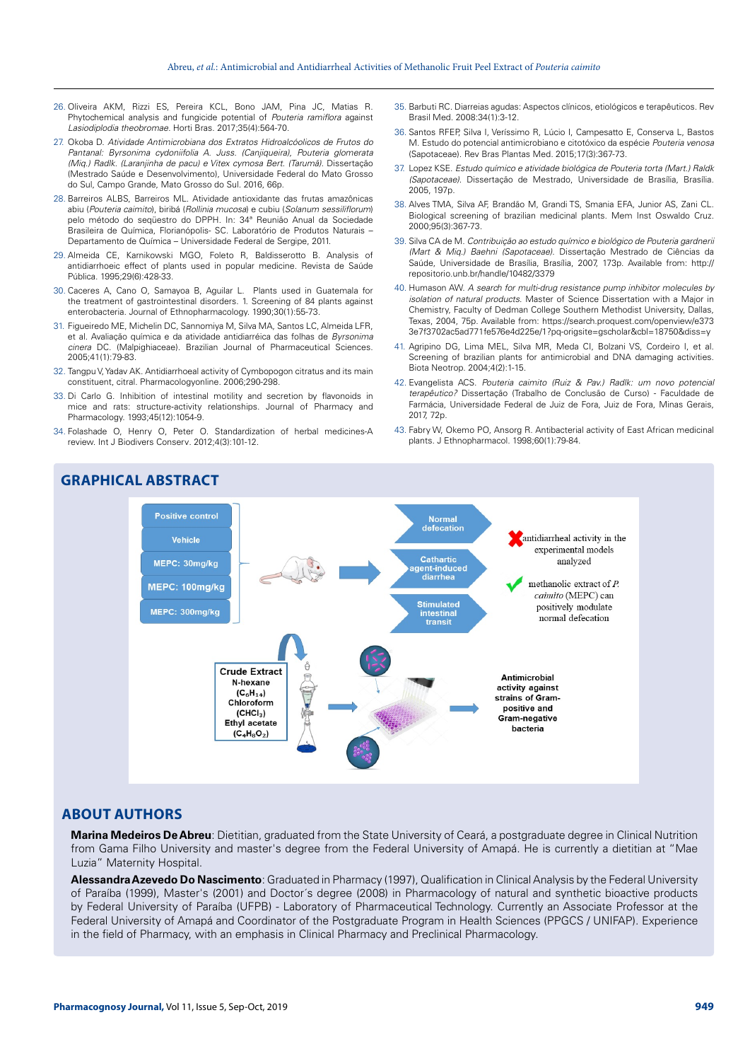- 26. Oliveira AKM, Rizzi ES, Pereira KCL, Bono JAM, Pina JC, Matias R. Phytochemical analysis and fungicide potential of *Pouteria ramiflora* against *Lasiodiplodia theobromae.* Horti Bras. 2017;35(4):564-70.
- 27. Okoba D. *Atividade Antimicrobiana dos Extratos Hidroalcóolicos de Frutos do Pantanal: Byrsonima cydoniifolia A. Juss. (Canjiqueira), Pouteria glomerata (Miq.) Radlk. (Laranjinha de pacu) e Vitex cymosa Bert. (Tarumã).* Dissertação (Mestrado Saúde e Desenvolvimento), Universidade Federal do Mato Grosso do Sul, Campo Grande, Mato Grosso do Sul. 2016, 66p.
- 28. Barreiros ALBS, Barreiros ML. Atividade antioxidante das frutas amazônicas abiu (*Pouteria caimito*), biribá (*Rollinia mucosa*) e cubiu (*Solanum sessiliflorum*) pelo método do seqüestro do DPPH*.* In: 34ª Reunião Anual da Sociedade Brasileira de Química, Florianópolis- SC. Laboratório de Produtos Naturais – Departamento de Química – Universidade Federal de Sergipe, 2011.
- 29. Almeida CE, Karnikowski MGO, Foleto R, Baldisserotto B. Analysis of antidiarrhoeic effect of plants used in popular medicine. Revista de Saúde Pública. 1995;29(6):428-33.
- 30. Caceres A, Cano O, Samayoa B, Aguilar L. Plants used in Guatemala for the treatment of gastrointestinal disorders. 1. Screening of 84 plants against enterobacteria. Journal of Ethnopharmacology. 1990;30(1):55-73.
- 31. Figueiredo ME, Michelin DC, Sannomiya M, Silva MA, Santos LC, Almeida LFR, et al. Avaliação química e da atividade antidiarréica das folhas de *Byrsonima cinera* DC. (Malpighiaceae). Brazilian Journal of Pharmaceutical Sciences. 2005;41(1):79-83.
- 32. Tangpu V, Yadav AK. Antidiarrhoeal activity of Cymbopogon citratus and its main constituent, citral. Pharmacologyonline. 2006;290-298.
- 33. Di Carlo G. Inhibition of intestinal motility and secretion by flavonoids in mice and rats: structure-activity relationships. Journal of Pharmacy and Pharmacology. 1993;45(12):1054-9.
- 34. Folashade O, Henry O, Peter O. Standardization of herbal medicines-A review. Int J Biodivers Conserv*.* 2012;4(3):101-12.
- 35. Barbuti RC. Diarreias agudas: Aspectos clínicos, etiológicos e terapêuticos. Rev Brasil Med. 2008:34(1):3-12.
- 36. Santos RFEP, Silva I, Veríssimo R, Lúcio I, Campesatto E, Conserva L, Bastos M. Estudo do potencial antimicrobiano e citotóxico da espécie *Pouteria venosa* (Sapotaceae). Rev Bras Plantas Med*.* 2015;17(3):367-73.
- 37. Lopez KSE. *Estudo químico e atividade biológica de Pouteria torta (Mart.) Raldk (Sapotaceae)*. Dissertação de Mestrado, Universidade de Brasília, Brasília. 2005, 197p.
- 38. Alves TMA, Silva AF, Brandão M, Grandi TS, Smania EFA, Junior AS, Zani CL. Biological screening of brazilian medicinal plants. Mem Inst Oswaldo Cruz*.*  2000;95(3):367-73.
- 39. Silva CA de M. *Contribuição ao estudo químico e biológico de Pouteria gardnerii (Mart & Miq.) Baehni (Sapotaceae)*. Dissertação Mestrado de Ciências da Saúde, Universidade de Brasília, Brasília, 2007, 173p. Available from: [http://](http://repositorio.unb.br/handle/10482/3379) [repositorio.unb.br/handle/10482/3379](http://repositorio.unb.br/handle/10482/3379)
- 40. Humason AW. *A search for multi-drug resistance pump inhibitor molecules by isolation of natural products*. Master of Science Dissertation with a Major in Chemistry, Faculty of Dedman College Southern Methodist University, Dallas, Texas, 2004, 75p. Available from: [https://search.proquest.com/openview/e373](https://search.proquest.com/openview/e3733e7f3702ac5ad771fe576e4d225e/1?pq-origsite=gscholar&cbl=18750&diss=y) [3e7f3702ac5ad771fe576e4d225e/1?pq-origsite=gscholar&cbl=18750&diss=y](https://search.proquest.com/openview/e3733e7f3702ac5ad771fe576e4d225e/1?pq-origsite=gscholar&cbl=18750&diss=y)
- 41. Agripino DG, Lima MEL, Silva MR, Meda CI, Bolzani VS, Cordeiro I, et al. Screening of brazilian plants for antimicrobial and DNA damaging activities. Biota Neotrop. 2004;4(2):1-15.
- 42. Evangelista ACS. *Pouteria caimito (Ruiz & Pav.) Radlk: um novo potencial terapêutico?* Dissertação (Trabalho de Conclusão de Curso) - Faculdade de Farmácia, Universidade Federal de Juiz de Fora, Juiz de Fora, Minas Gerais, 2017, 72p.
- 43. Fabry W, Okemo PO, Ansorg R. Antibacterial activity of East African medicinal plants. J Ethnopharmacol. 1998;60(1):79-84.



## **ABOUT AUTHORS**

**Marina Medeiros De Abreu**: Dietitian, graduated from the State University of Ceará, a postgraduate degree in Clinical Nutrition from Gama Filho University and master's degree from the Federal University of Amapá. He is currently a dietitian at "Mae Luzia" Maternity Hospital.

**Alessandra Azevedo Do Nascimento**: Graduated in Pharmacy (1997), Qualification in Clinical Analysis by the Federal University of Paraíba (1999), Master's (2001) and Doctor´s degree (2008) in Pharmacology of natural and synthetic bioactive products by Federal University of Paraíba (UFPB) - Laboratory of Pharmaceutical Technology. Currently an Associate Professor at the Federal University of Amapá and Coordinator of the Postgraduate Program in Health Sciences (PPGCS / UNIFAP). Experience in the field of Pharmacy, with an emphasis in Clinical Pharmacy and Preclinical Pharmacology.

## **GRAPHICAL ABSTRACT**